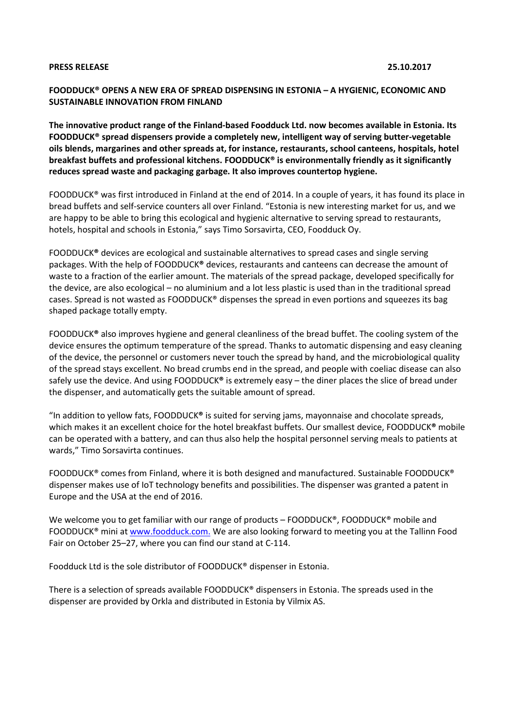### **PRESS RELEASE 25.10.2017**

# **FOODDUCK® OPENS A NEW ERA OF SPREAD DISPENSING IN ESTONIA – A HYGIENIC, ECONOMIC AND SUSTAINABLE INNOVATION FROM FINLAND**

**The innovative product range of the Finland-based Foodduck Ltd. now becomes available in Estonia. Its FOODDUCK® spread dispensers provide a completely new, intelligent way of serving butter-vegetable oils blends, margarines and other spreads at, for instance, restaurants, school canteens, hospitals, hotel breakfast buffets and professional kitchens. FOODDUCK® is environmentally friendly as it significantly reduces spread waste and packaging garbage. It also improves countertop hygiene.** 

FOODDUCK® was first introduced in Finland at the end of 2014. In a couple of years, it has found its place in bread buffets and self-service counters all over Finland. "Estonia is new interesting market for us, and we are happy to be able to bring this ecological and hygienic alternative to serving spread to restaurants, hotels, hospital and schools in Estonia," says Timo Sorsavirta, CEO, Foodduck Oy.

FOODDUCK**®** devices are ecological and sustainable alternatives to spread cases and single serving packages. With the help of FOODDUCK**®** devices, restaurants and canteens can decrease the amount of waste to a fraction of the earlier amount. The materials of the spread package, developed specifically for the device, are also ecological – no aluminium and a lot less plastic is used than in the traditional spread cases. Spread is not wasted as FOODDUCK® dispenses the spread in even portions and squeezes its bag shaped package totally empty.

FOODDUCK**®** also improves hygiene and general cleanliness of the bread buffet. The cooling system of the device ensures the optimum temperature of the spread. Thanks to automatic dispensing and easy cleaning of the device, the personnel or customers never touch the spread by hand, and the microbiological quality of the spread stays excellent. No bread crumbs end in the spread, and people with coeliac disease can also safely use the device. And using FOODDUCK**®** is extremely easy – the diner places the slice of bread under the dispenser, and automatically gets the suitable amount of spread.

"In addition to yellow fats, FOODDUCK**®** is suited for serving jams, mayonnaise and chocolate spreads, which makes it an excellent choice for the hotel breakfast buffets. Our smallest device, FOODDUCK**®** mobile can be operated with a battery, and can thus also help the hospital personnel serving meals to patients at wards," Timo Sorsavirta continues.

FOODDUCK® comes from Finland, where it is both designed and manufactured. Sustainable FOODDUCK® dispenser makes use of IoT technology benefits and possibilities. The dispenser was granted a patent in Europe and the USA at the end of 2016.

We welcome you to get familiar with our range of products – FOODDUCK®, FOODDUCK® mobile and FOODDUCK® mini at [www.foodduck.com.](http://www.foodduck.com./) We are also looking forward to meeting you at the Tallinn Food Fair on October 25–27, where you can find our stand at C-114.

Foodduck Ltd is the sole distributor of FOODDUCK® dispenser in Estonia.

There is a selection of spreads available FOODDUCK® dispensers in Estonia. The spreads used in the dispenser are provided by Orkla and distributed in Estonia by Vilmix AS.